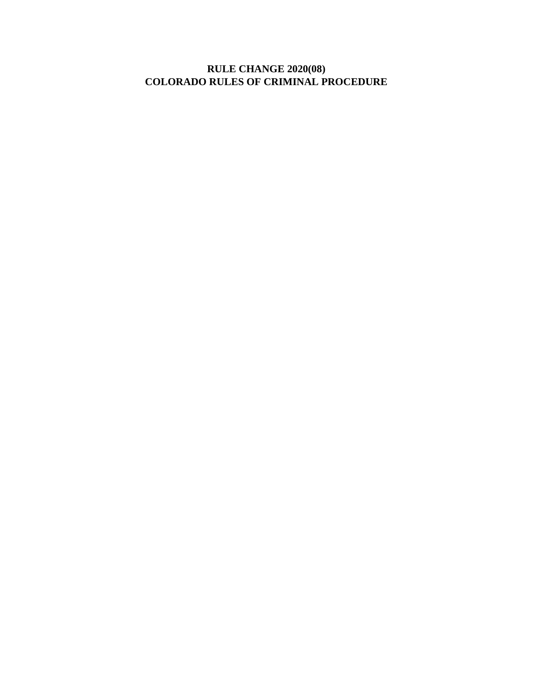# **RULE CHANGE 2020(08) COLORADO RULES OF CRIMINAL PROCEDURE**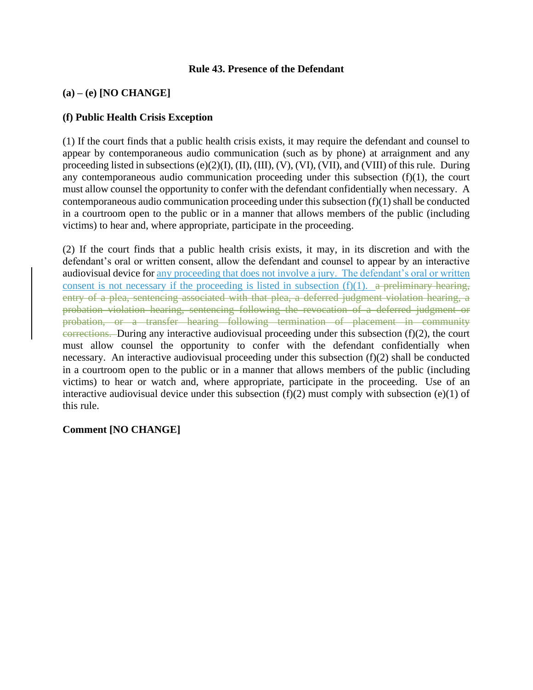#### **Rule 43. Presence of the Defendant**

# **(a) – (e) [NO CHANGE]**

#### **(f) Public Health Crisis Exception**

(1) If the court finds that a public health crisis exists, it may require the defendant and counsel to appear by contemporaneous audio communication (such as by phone) at arraignment and any proceeding listed in subsections (e)(2)(I), (II), (III), (V), (VI), (VII), and (VIII) of this rule. During any contemporaneous audio communication proceeding under this subsection  $(f)(1)$ , the court must allow counsel the opportunity to confer with the defendant confidentially when necessary. A contemporaneous audio communication proceeding under this subsection (f)(1) shall be conducted in a courtroom open to the public or in a manner that allows members of the public (including victims) to hear and, where appropriate, participate in the proceeding.

(2) If the court finds that a public health crisis exists, it may, in its discretion and with the defendant's oral or written consent, allow the defendant and counsel to appear by an interactive audiovisual device for any proceeding that does not involve a jury. The defendant's oral or written consent is not necessary if the proceeding is listed in subsection  $(f)(1)$ . a preliminary hearing, entry of a plea, sentencing associated with that plea, a deferred judgment violation hearing, a probation violation hearing, sentencing following the revocation of a deferred judgment or probation, or a transfer hearing following termination of placement in community corrections. During any interactive audiovisual proceeding under this subsection  $(f)(2)$ , the court must allow counsel the opportunity to confer with the defendant confidentially when necessary. An interactive audiovisual proceeding under this subsection  $(f)(2)$  shall be conducted in a courtroom open to the public or in a manner that allows members of the public (including victims) to hear or watch and, where appropriate, participate in the proceeding. Use of an interactive audiovisual device under this subsection  $(f)(2)$  must comply with subsection  $(e)(1)$  of this rule.

#### **Comment [NO CHANGE]**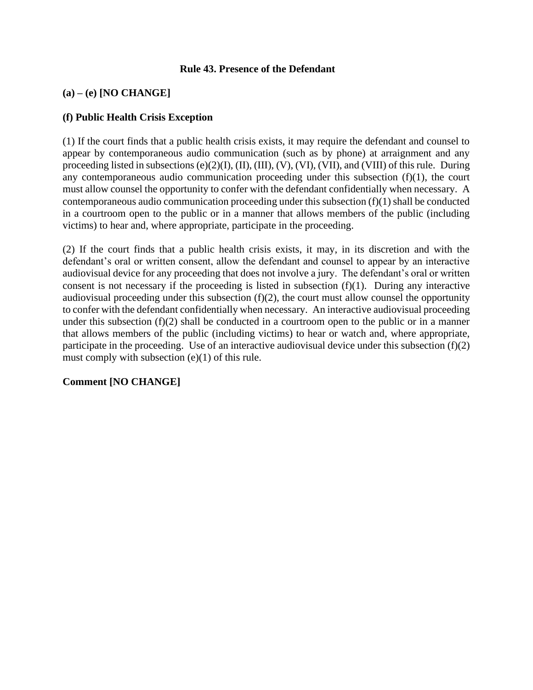#### **Rule 43. Presence of the Defendant**

# **(a) – (e) [NO CHANGE]**

### **(f) Public Health Crisis Exception**

(1) If the court finds that a public health crisis exists, it may require the defendant and counsel to appear by contemporaneous audio communication (such as by phone) at arraignment and any proceeding listed in subsections (e)(2)(I), (II), (III), (V), (VI), (VII), and (VIII) of this rule. During any contemporaneous audio communication proceeding under this subsection  $(f)(1)$ , the court must allow counsel the opportunity to confer with the defendant confidentially when necessary. A contemporaneous audio communication proceeding under this subsection (f)(1) shall be conducted in a courtroom open to the public or in a manner that allows members of the public (including victims) to hear and, where appropriate, participate in the proceeding.

(2) If the court finds that a public health crisis exists, it may, in its discretion and with the defendant's oral or written consent, allow the defendant and counsel to appear by an interactive audiovisual device for any proceeding that does not involve a jury. The defendant's oral or written consent is not necessary if the proceeding is listed in subsection  $(f)(1)$ . During any interactive audiovisual proceeding under this subsection  $(f)(2)$ , the court must allow counsel the opportunity to confer with the defendant confidentially when necessary. An interactive audiovisual proceeding under this subsection (f)(2) shall be conducted in a courtroom open to the public or in a manner that allows members of the public (including victims) to hear or watch and, where appropriate, participate in the proceeding. Use of an interactive audiovisual device under this subsection (f)(2) must comply with subsection (e)(1) of this rule.

# **Comment [NO CHANGE]**